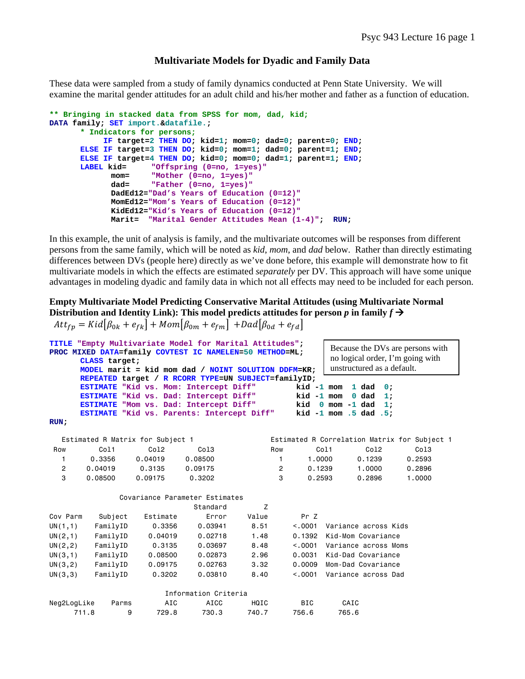# **Multivariate Models for Dyadic and Family Data**

These data were sampled from a study of family dynamics conducted at Penn State University. We will examine the marital gender attitudes for an adult child and his/her mother and father as a function of education.

```
** Bringing in stacked data from SPSS for mom, dad, kid;
DATA family; SET import.&datafile.; 
      * Indicators for persons;
            IF target=2 THEN DO; kid=1; mom=0; dad=0; parent=0; END; 
       ELSE IF target=3 THEN DO; kid=0; mom=1; dad=0; parent=1; END; 
       ELSE IF target=4 THEN DO; kid=0; mom=0; dad=1; parent=1; END; 
                      "Offspring (0=no, 1=yes)"
              mom= "Mother (0=no, 1=yes)"
              dad= "Father (0=no, 1=yes)"
              DadEd12="Dad's Years of Education (0=12)" 
             MomEd12="Mom's Years of Education (0=12)" 
             KidEd12="Kid's Years of Education (0=12)"
              Marit= "Marital Gender Attitudes Mean (1-4)"; RUN;
```
In this example, the unit of analysis is family, and the multivariate outcomes will be responses from different persons from the same family, which will be noted as *kid*, *mom*, and *dad* below. Rather than directly estimating differences between DVs (people here) directly as we've done before, this example will demonstrate how to fit multivariate models in which the effects are estimated *separately* per DV. This approach will have some unique advantages in modeling dyadic and family data in which not all effects may need to be included for each person.

**Empty Multivariate Model Predicting Conservative Marital Attitudes (using Multivariate Normal Distribution and Identity Link): This model predicts attitudes for person** *p* **in family**  $f \rightarrow$ 

 $Att_{fp} = Kid[\beta_{0k} + e_{fk}] + Mom[\beta_{0m} + e_{fm}] + Dad[\beta_{0d} + e_{fd}]$ 

| TITLE "Empty Multivariate Model for Marital Attitudes";<br>Because the DVs are persons with |          |                                                                                      |                      |                                                     |                            |                                                  |                                              |  |
|---------------------------------------------------------------------------------------------|----------|--------------------------------------------------------------------------------------|----------------------|-----------------------------------------------------|----------------------------|--------------------------------------------------|----------------------------------------------|--|
| PROC MIXED DATA=family COVTEST IC NAMELEN=50 METHOD=ML;                                     |          |                                                                                      |                      |                                                     |                            | no logical order, I'm going with                 |                                              |  |
| CLASS target;                                                                               |          |                                                                                      |                      |                                                     | unstructured as a default. |                                                  |                                              |  |
|                                                                                             |          |                                                                                      |                      | MODEL marit = kid mom dad / NOINT SOLUTION DDFM=KR; |                            |                                                  |                                              |  |
|                                                                                             |          |                                                                                      |                      | REPEATED target / R RCORR TYPE=UN SUBJECT=familyID; |                            |                                                  |                                              |  |
|                                                                                             |          | ESTIMATE "Kid vs. Mom: Intercept Diff"                                               |                      |                                                     | $kid -1 mom$               | 1 dad                                            | 0:                                           |  |
|                                                                                             |          | ESTIMATE "Kid vs. Dad: Intercept Diff"                                               |                      |                                                     | $kid -1 mom$               | 0 <sub>da</sub>                                  | 1:                                           |  |
|                                                                                             |          | ESTIMATE "Mom vs. Dad: Intercept Diff"<br>ESTIMATE "Kid vs. Parents: Intercept Diff" |                      |                                                     |                            | kid 0 mom -1 dad<br>kid $-1$ mom $.5$ dad $.5$ ; | 1:                                           |  |
| RUN:                                                                                        |          |                                                                                      |                      |                                                     |                            |                                                  |                                              |  |
|                                                                                             |          |                                                                                      |                      |                                                     |                            |                                                  |                                              |  |
|                                                                                             |          | Estimated R Matrix for Subject 1                                                     |                      |                                                     |                            |                                                  | Estimated R Correlation Matrix for Subject 1 |  |
| Row                                                                                         | Co11     | Co12                                                                                 | Co13                 | Row                                                 |                            | Co11<br>Co12                                     | Col <sub>3</sub>                             |  |
| 1                                                                                           | 0.3356   | 0.04019                                                                              | 0.08500              | $\mathbf{1}$                                        | 1.0000                     | 0.1239                                           | 0.2593                                       |  |
| $\overline{c}$                                                                              | 0.04019  | 0.3135                                                                               | 0.09175              | $\overline{2}$                                      | 0.1239                     | 1,0000                                           | 0.2896                                       |  |
| 3                                                                                           | 0.08500  | 0.09175                                                                              | 0.3202               | 3                                                   | 0.2593                     | 0.2896                                           | 1,0000                                       |  |
|                                                                                             |          |                                                                                      |                      |                                                     |                            |                                                  |                                              |  |
|                                                                                             |          | Covariance Parameter Estimates                                                       |                      |                                                     |                            |                                                  |                                              |  |
|                                                                                             |          |                                                                                      | Standard             | Z                                                   |                            |                                                  |                                              |  |
| Cov Parm                                                                                    | Subject  | Estimate                                                                             | Error                | Value                                               | Pr Z                       |                                                  |                                              |  |
| UN(1,1)                                                                                     | FamilyID | 0.3356                                                                               | 0.03941              | 8.51                                                | < 0.001                    | Variance across Kids                             |                                              |  |
| UN(2,1)                                                                                     | FamilyID | 0.04019                                                                              | 0.02718              | 1.48                                                | 0.1392                     | Kid-Mom Covariance                               |                                              |  |
| UN(2, 2)                                                                                    | FamilyID | 0.3135                                                                               | 0.03697              | 8.48                                                | < 0.001                    | Variance across Moms                             |                                              |  |
| UN(3,1)                                                                                     | FamilyID | 0.08500                                                                              | 0.02873              | 2.96                                                | 0.0031                     | Kid-Dad Covariance                               |                                              |  |
| UN(3,2)                                                                                     | FamilyID | 0.09175                                                                              | 0.02763              | 3.32                                                | 0.0009                     | Mom-Dad Covariance                               |                                              |  |
| UN(3,3)                                                                                     | FamilyID | 0.3202                                                                               | 0.03810              | 8.40                                                | < 0.001                    | Variance across Dad                              |                                              |  |
|                                                                                             |          |                                                                                      |                      |                                                     |                            |                                                  |                                              |  |
|                                                                                             |          |                                                                                      | Information Criteria |                                                     |                            |                                                  |                                              |  |
| Neg2LogLike                                                                                 | Parms    | AIC                                                                                  | AICC                 | HQIC                                                | <b>BIC</b>                 | CAIC                                             |                                              |  |
|                                                                                             | 711.8    | 9<br>729.8                                                                           | 730.3                | 740.7                                               | 756.6                      | 765.6                                            |                                              |  |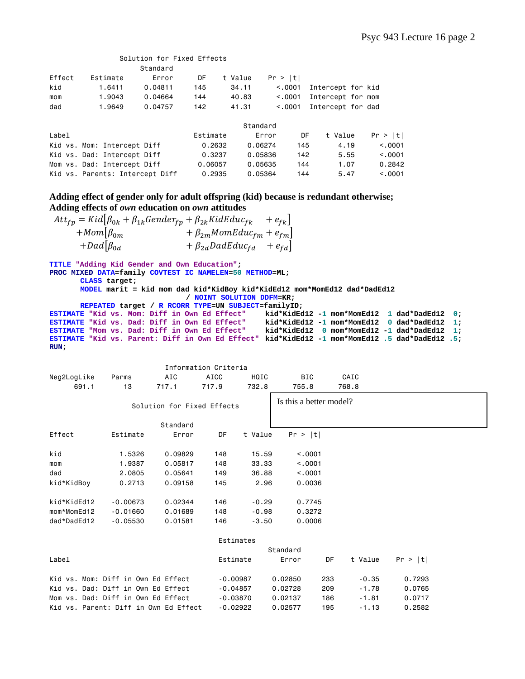|        |                                 | Solution for Fixed Effects |          |          |          |     |                   |          |
|--------|---------------------------------|----------------------------|----------|----------|----------|-----|-------------------|----------|
|        |                                 | Standard                   |          |          |          |     |                   |          |
| Effect | Estimate                        | Error                      | DF       | t Value  | Pr >  t  |     |                   |          |
| kid    | 1.6411                          | 0.04811                    | 145      | 34.11    | < 0.0001 |     | Intercept for kid |          |
| mom    | 1,9043                          | 0.04664                    | 144      | 40.83    | < 0.0001 |     | Intercept for mom |          |
| dad    | 1,9649                          | 0.04757                    | 142      | 41.31    | < 0.0001 |     | Intercept for dad |          |
|        |                                 |                            |          | Standard |          |     |                   |          |
| Label  |                                 |                            | Estimate | Error    |          | DF  | t Value           | Pr >  t  |
|        | Kid vs. Mom: Intercept Diff     |                            | 0.2632   | 0.06274  |          | 145 | 4.19              | < 0.0001 |
|        | Kid vs. Dad: Intercept Diff     |                            | 0.3237   | 0.05836  |          | 142 | 5.55              | < 0.0001 |
|        | Mom vs. Dad: Intercept Diff     |                            | 0.06057  | 0.05635  |          | 144 | 1.07              | 0.2842   |
|        | Kid vs. Parents: Intercept Diff |                            | 0.2935   | 0.05364  |          | 144 | 5.47              | < 0.001  |

**Adding effect of gender only for adult offspring (kid) because is redundant otherwise; Adding effects of** *own* **education on** *own* **attitudes** 

 $Att_{fp} = Kid[\beta_{0k} + \beta_{1k} Gender_{fp} + \beta_{2k} KidEduc_{fk} + e_{fk}]$  $+ Mom[\beta_{0m}$   $+ \beta_{2m}MomEduc_{fm} + e_{fm}]$  $+ Dad[\beta_{0d}$   $+ \beta_{2d} DadEduc_{fd} + e_{fd}]$ 

**TITLE "Adding Kid Gender and Own Education";** 

**PROC MIXED DATA=family COVTEST IC NAMELEN=50 METHOD=ML;** 

**CLASS target;** 

**MODEL marit = kid mom dad kid\*KidBoy kid\*KidEd12 mom\*MomEd12 dad\*DadEd12 / NOINT SOLUTION DDFM=KR;** 

```
REPEATED target / R RCORR TYPE=UN SUBJECT=familyID;
```
**ESTIMATE "Kid vs. Mom: Diff in Own Ed Effect" kid\*KidEd12 -1 mom\*MomEd12 1 dad\*DadEd12 0; ESTIMATE "Kid vs. Dad: Diff in Own Ed Effect" kid\*KidEd12 -1 mom\*MomEd12 0 dad\*DadEd12 1; ESTIMATE "Mom vs. Dad: Diff in Own Ed Effect" kid\*KidEd12 0 mom\*MomEd12 -1 dad\*DadEd12 1; ESTIMATE "Kid vs. Parent: Diff in Own Ed Effect" kid\*KidEd12 -1 mom\*MomEd12 .5 dad\*DadEd12 .5; RUN;** 

|             |            |                            | Information Criteria |           |                         |       |  |
|-------------|------------|----------------------------|----------------------|-----------|-------------------------|-------|--|
| Neg2LogLike | Parms      | AIC                        | AICC                 | HQIC      | BIC                     | CAIC  |  |
| 691.1       | 13         | 717.1                      | 717.9                | 732.8     | 755.8                   | 768.8 |  |
|             |            | Solution for Fixed Effects |                      |           | Is this a better model? |       |  |
|             |            | Standard                   |                      |           |                         |       |  |
| Effect      | Estimate   | Error                      | DF                   | t Value   | Pr >  t                 |       |  |
| kid         | 1.5326     | 0.09829                    | 148                  | 15.59     | < .0001                 |       |  |
| mom         | 1.9387     | 0.05817                    | 148                  | 33.33     | < .0001                 |       |  |
| dad         | 2.0805     | 0.05641                    | 149                  | 36.88     | < 0.001                 |       |  |
| kid*KidBoy  | 0.2713     | 0.09158                    | 145                  | 2.96      | 0.0036                  |       |  |
| kid*KidEd12 | $-0.00673$ | 0.02344                    | 146                  | $-0.29$   | 0.7745                  |       |  |
| mom*MomEd12 | $-0.01660$ | 0.01689                    | 148                  | $-0.98$   | 0.3272                  |       |  |
| dad*DadEd12 | $-0.05530$ | 0.01581                    | 146                  | $-3.50$   | 0.0006                  |       |  |
|             |            |                            |                      | Fstimates |                         |       |  |

|                                       |            | Standard |     |         |         |
|---------------------------------------|------------|----------|-----|---------|---------|
| Label                                 | Estimate   | Error    | DF  | t Value | Pr >  t |
|                                       |            |          |     |         |         |
| Kid vs. Mom: Diff in Own Ed Effect    | $-0.00987$ | 0.02850  | 233 | -0.35   | 0.7293  |
| Kid vs. Dad: Diff in Own Ed Effect    | $-0.04857$ | 0.02728  | 209 | $-1.78$ | 0.0765  |
| Mom vs. Dad: Diff in Own Ed Effect    | -0.03870   | 0.02137  | 186 | $-1.81$ | 0.0717  |
| Kid vs. Parent: Diff in Own Ed Effect | $-0.02922$ | 0.02577  | 195 | $-1.13$ | 0.2582  |
|                                       |            |          |     |         |         |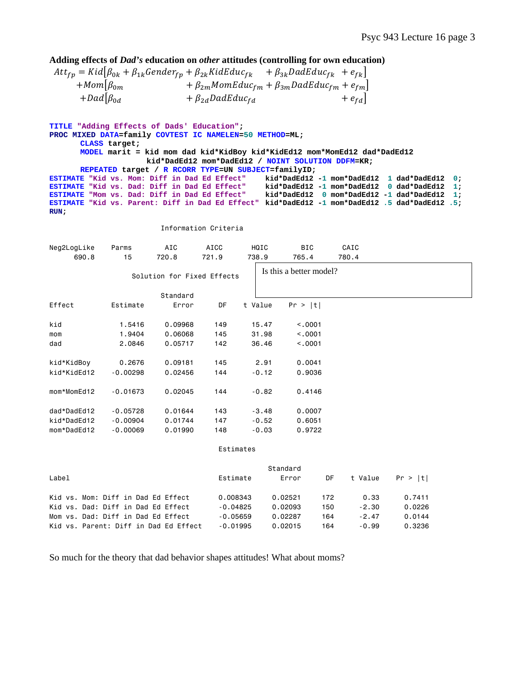# **Adding effects of** *Dad's* **education on** *other* **attitudes (controlling for own education)**

|                    | $Att_{fp} = Kid[\beta_{0k} + \beta_{1k} Gender_{fp} + \beta_{2k} KidEduc_{fk} + \beta_{3k} DadEduc_{fk} + e_{fk}]$ |           |
|--------------------|--------------------------------------------------------------------------------------------------------------------|-----------|
| $+Mom\beta_{0m}$   | $+\beta_{2m}$ MomEduc <sub>fm</sub> + $\beta_{3m}$ DadEduc <sub>fm</sub> + $e_{fm}$                                |           |
| $+Dad \beta_{0d} $ | $+ \beta_{2d} DadEduc_{fd}$                                                                                        | $+e_{fd}$ |

**TITLE "Adding Effects of Dads' Education"; PROC MIXED DATA=family COVTEST IC NAMELEN=50 METHOD=ML; CLASS target; MODEL marit = kid mom dad kid\*KidBoy kid\*KidEd12 mom\*MomEd12 dad\*DadEd12 kid\*DadEd12 mom\*DadEd12 / NOINT SOLUTION DDFM=KR; REPEATED target / R RCORR TYPE=UN SUBJECT=familyID; ESTIMATE "Kid vs. Mom: Diff in Dad Ed Effect" kid\*DadEd12 -1 mom\*DadEd12 1 dad\*DadEd12 0; ESTIMATE "Kid vs. Dad: Diff in Dad Ed Effect" kid\*DadEd12 -1 mom\*DadEd12 0 dad\*DadEd12 1; ESTIMATE "Mom vs. Dad: Diff in Dad Ed Effect" kid\*DadEd12 0 mom\*DadEd12 -1 dad\*DadEd12 1; ESTIMATE "Kid vs. Parent: Diff in Dad Ed Effect" kid\*DadEd12 -1 mom\*DadEd12 .5 dad\*DadEd12 .5; RUN;** 

### Information Criteria

| Neg2LogLike<br>690.8 | Parms<br>15 | AIC<br>720.8               | <b>AICC</b><br>721.9 | HQIC<br>738.9 | <b>BIC</b><br>765.4     | CAIC<br>780.4 |  |
|----------------------|-------------|----------------------------|----------------------|---------------|-------------------------|---------------|--|
|                      |             | Solution for Fixed Effects |                      |               | Is this a better model? |               |  |
|                      |             | Standard                   |                      |               |                         |               |  |
| Effect               | Estimate    | Error                      | DF                   | t Value       | Pr >  t                 |               |  |
| kid                  | 1.5416      | 0.09968                    | 149                  | 15.47         | < .0001                 |               |  |
| mom                  | 1.9404      | 0.06068                    | 145                  | 31.98         | < .0001                 |               |  |
| dad                  | 2.0846      | 0.05717                    | 142                  | 36.46         | < .0001                 |               |  |
| kid*KidBoy           | 0.2676      | 0.09181                    | 145                  | 2.91          | 0.0041                  |               |  |
| kid*KidEd12          | $-0.00298$  | 0.02456                    | 144                  | $-0.12$       | 0.9036                  |               |  |
| mom*MomEd12          | $-0.01673$  | 0.02045                    | 144                  | $-0.82$       | 0.4146                  |               |  |
| dad*DadEd12          | $-0.05728$  | 0.01644                    | 143                  | $-3.48$       | 0.0007                  |               |  |
| kid*DadEd12          | $-0.00904$  | 0.01744                    | 147                  | $-0.52$       | 0.6051                  |               |  |
| mom*DadEd12          | $-0.00069$  | 0.01990                    | 148                  | $-0.03$       | 0.9722                  |               |  |
|                      |             |                            |                      | Estimates     |                         |               |  |
|                      |             |                            |                      |               | $C +$ ondond            |               |  |

|                                    |                                       |            | Standard |     |            |         |
|------------------------------------|---------------------------------------|------------|----------|-----|------------|---------|
| Label                              |                                       | Estimate   | Error    |     | DF t Value | Pr >  t |
| Kid vs. Mom: Diff in Dad Ed Effect |                                       | 0.008343   | 0.02521  | 172 | 0.33       | 0.7411  |
| Kid vs. Dad: Diff in Dad Ed Effect |                                       | $-0.04825$ | 0.02093  | 150 | -2.30      | 0.0226  |
| Mom vs. Dad: Diff in Dad Ed Effect |                                       | $-0.05659$ | 0.02287  | 164 | $-2.47$    | 0.0144  |
|                                    | Kid vs. Parent: Diff in Dad Ed Effect | $-0.01995$ | 0.02015  | 164 | $-0.99$    | 0.3236  |

So much for the theory that dad behavior shapes attitudes! What about moms?